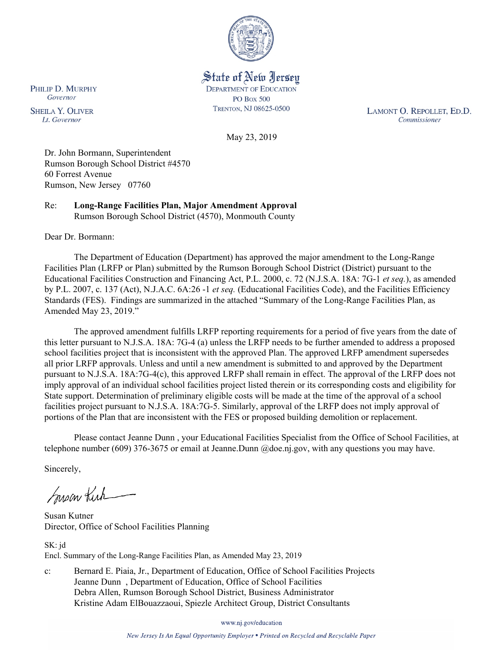

State of New Jersey **DEPARTMENT OF EDUCATION PO Box 500** TRENTON, NJ 08625-0500

LAMONT O. REPOLLET, ED.D. Commissioner

May 23, 2019

Dr. John Bormann, Superintendent Rumson Borough School District #4570 60 Forrest Avenue Rumson, New Jersey 07760

Re: **Long-Range Facilities Plan, Major Amendment Approval** Rumson Borough School District (4570), Monmouth County

Dear Dr. Bormann:

The Department of Education (Department) has approved the major amendment to the Long-Range Facilities Plan (LRFP or Plan) submitted by the Rumson Borough School District (District) pursuant to the Educational Facilities Construction and Financing Act, P.L. 2000, c. 72 (N.J.S.A. 18A: 7G-1 *et seq.*), as amended by P.L. 2007, c. 137 (Act), N.J.A.C. 6A:26 -1 *et seq.* (Educational Facilities Code), and the Facilities Efficiency Standards (FES). Findings are summarized in the attached "Summary of the Long-Range Facilities Plan, as Amended May 23, 2019."

The approved amendment fulfills LRFP reporting requirements for a period of five years from the date of this letter pursuant to N.J.S.A. 18A: 7G-4 (a) unless the LRFP needs to be further amended to address a proposed school facilities project that is inconsistent with the approved Plan. The approved LRFP amendment supersedes all prior LRFP approvals. Unless and until a new amendment is submitted to and approved by the Department pursuant to N.J.S.A. 18A:7G-4(c), this approved LRFP shall remain in effect. The approval of the LRFP does not imply approval of an individual school facilities project listed therein or its corresponding costs and eligibility for State support. Determination of preliminary eligible costs will be made at the time of the approval of a school facilities project pursuant to N.J.S.A. 18A:7G-5. Similarly, approval of the LRFP does not imply approval of portions of the Plan that are inconsistent with the FES or proposed building demolition or replacement.

Please contact Jeanne Dunn , your Educational Facilities Specialist from the Office of School Facilities, at telephone number (609) 376-3675 or email at Jeanne.Dunn @doe.nj.gov, with any questions you may have.

Sincerely,

Susan Kich

Susan Kutner Director, Office of School Facilities Planning

SK: jd Encl. Summary of the Long-Range Facilities Plan, as Amended May 23, 2019

c: Bernard E. Piaia, Jr., Department of Education, Office of School Facilities Projects Jeanne Dunn , Department of Education, Office of School Facilities Debra Allen, Rumson Borough School District, Business Administrator Kristine Adam ElBouazzaoui, Spiezle Architect Group, District Consultants

www.nj.gov/education

New Jersey Is An Equal Opportunity Employer . Printed on Recycled and Recyclable Paper

PHILIP D. MURPHY Governor

**SHEILA Y. OLIVER** Lt. Governor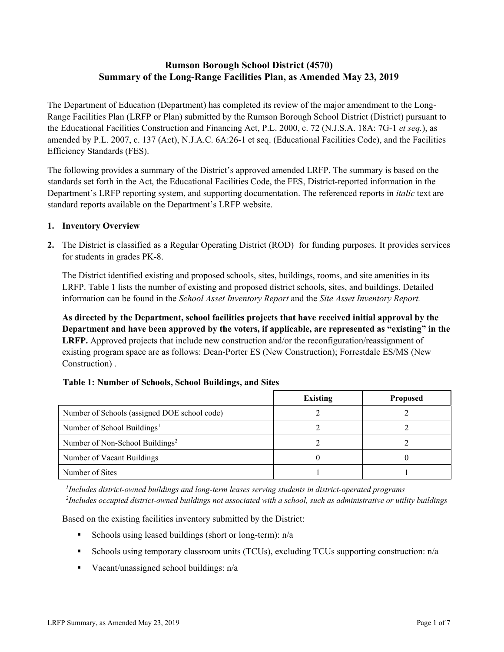# **Rumson Borough School District (4570) Summary of the Long-Range Facilities Plan, as Amended May 23, 2019**

The Department of Education (Department) has completed its review of the major amendment to the Long-Range Facilities Plan (LRFP or Plan) submitted by the Rumson Borough School District (District) pursuant to the Educational Facilities Construction and Financing Act, P.L. 2000, c. 72 (N.J.S.A. 18A: 7G-1 *et seq.*), as amended by P.L. 2007, c. 137 (Act), N.J.A.C. 6A:26-1 et seq. (Educational Facilities Code), and the Facilities Efficiency Standards (FES).

The following provides a summary of the District's approved amended LRFP. The summary is based on the standards set forth in the Act, the Educational Facilities Code, the FES, District-reported information in the Department's LRFP reporting system, and supporting documentation. The referenced reports in *italic* text are standard reports available on the Department's LRFP website.

### **1. Inventory Overview**

**2.** The District is classified as a Regular Operating District (ROD) for funding purposes. It provides services for students in grades PK-8.

The District identified existing and proposed schools, sites, buildings, rooms, and site amenities in its LRFP. Table 1 lists the number of existing and proposed district schools, sites, and buildings. Detailed information can be found in the *School Asset Inventory Report* and the *Site Asset Inventory Report.*

**As directed by the Department, school facilities projects that have received initial approval by the Department and have been approved by the voters, if applicable, are represented as "existing" in the LRFP.** Approved projects that include new construction and/or the reconfiguration/reassignment of existing program space are as follows: Dean-Porter ES (New Construction); Forrestdale ES/MS (New Construction) .

### **Table 1: Number of Schools, School Buildings, and Sites**

|                                              | <b>Existing</b> | <b>Proposed</b> |
|----------------------------------------------|-----------------|-----------------|
| Number of Schools (assigned DOE school code) |                 |                 |
| Number of School Buildings <sup>1</sup>      |                 |                 |
| Number of Non-School Buildings <sup>2</sup>  |                 |                 |
| Number of Vacant Buildings                   |                 |                 |
| Number of Sites                              |                 |                 |

*1 Includes district-owned buildings and long-term leases serving students in district-operated programs 2 Includes occupied district-owned buildings not associated with a school, such as administrative or utility buildings*

Based on the existing facilities inventory submitted by the District:

- Schools using leased buildings (short or long-term):  $n/a$
- Schools using temporary classroom units (TCUs), excluding TCUs supporting construction:  $n/a$
- Vacant/unassigned school buildings:  $n/a$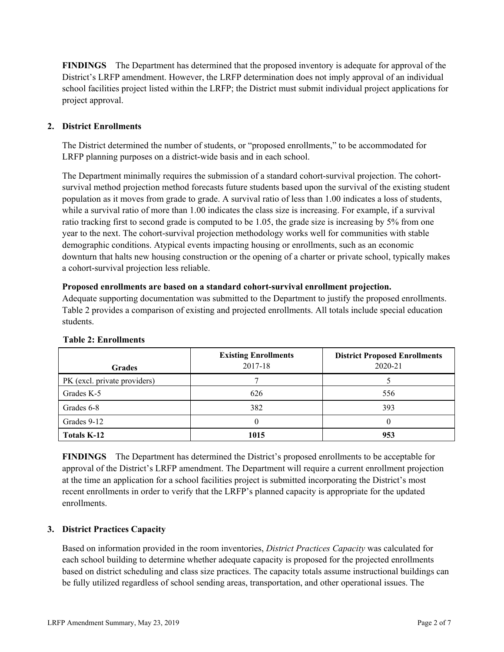**FINDINGS** The Department has determined that the proposed inventory is adequate for approval of the District's LRFP amendment. However, the LRFP determination does not imply approval of an individual school facilities project listed within the LRFP; the District must submit individual project applications for project approval.

# **2. District Enrollments**

The District determined the number of students, or "proposed enrollments," to be accommodated for LRFP planning purposes on a district-wide basis and in each school.

The Department minimally requires the submission of a standard cohort-survival projection. The cohortsurvival method projection method forecasts future students based upon the survival of the existing student population as it moves from grade to grade. A survival ratio of less than 1.00 indicates a loss of students, while a survival ratio of more than 1.00 indicates the class size is increasing. For example, if a survival ratio tracking first to second grade is computed to be 1.05, the grade size is increasing by 5% from one year to the next. The cohort-survival projection methodology works well for communities with stable demographic conditions. Atypical events impacting housing or enrollments, such as an economic downturn that halts new housing construction or the opening of a charter or private school, typically makes a cohort-survival projection less reliable.

#### **Proposed enrollments are based on a standard cohort-survival enrollment projection.**

Adequate supporting documentation was submitted to the Department to justify the proposed enrollments. Table 2 provides a comparison of existing and projected enrollments. All totals include special education students.

| <b>Grades</b>                | <b>Existing Enrollments</b><br>2017-18 | <b>District Proposed Enrollments</b><br>2020-21 |
|------------------------------|----------------------------------------|-------------------------------------------------|
| PK (excl. private providers) |                                        |                                                 |
| Grades K-5                   | 626                                    | 556                                             |
| Grades 6-8                   | 382                                    | 393                                             |
| Grades 9-12                  |                                        |                                                 |
| Totals K-12                  | 1015                                   | 953                                             |

#### **Table 2: Enrollments**

**FINDINGS** The Department has determined the District's proposed enrollments to be acceptable for approval of the District's LRFP amendment. The Department will require a current enrollment projection at the time an application for a school facilities project is submitted incorporating the District's most recent enrollments in order to verify that the LRFP's planned capacity is appropriate for the updated enrollments.

# **3. District Practices Capacity**

Based on information provided in the room inventories, *District Practices Capacity* was calculated for each school building to determine whether adequate capacity is proposed for the projected enrollments based on district scheduling and class size practices. The capacity totals assume instructional buildings can be fully utilized regardless of school sending areas, transportation, and other operational issues. The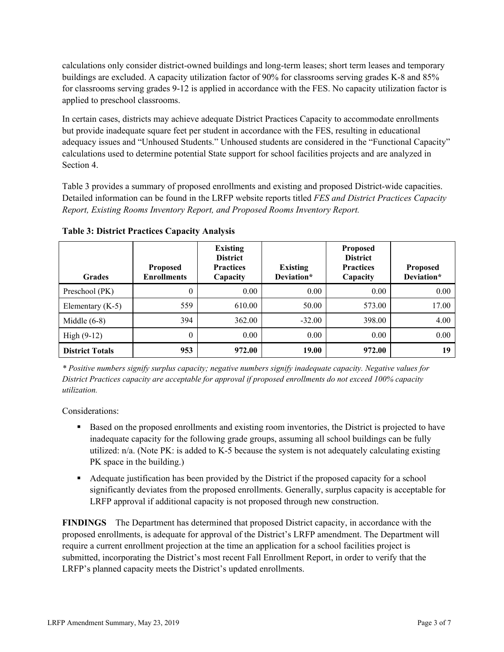calculations only consider district-owned buildings and long-term leases; short term leases and temporary buildings are excluded. A capacity utilization factor of 90% for classrooms serving grades K-8 and 85% for classrooms serving grades 9-12 is applied in accordance with the FES. No capacity utilization factor is applied to preschool classrooms.

In certain cases, districts may achieve adequate District Practices Capacity to accommodate enrollments but provide inadequate square feet per student in accordance with the FES, resulting in educational adequacy issues and "Unhoused Students." Unhoused students are considered in the "Functional Capacity" calculations used to determine potential State support for school facilities projects and are analyzed in Section 4.

Table 3 provides a summary of proposed enrollments and existing and proposed District-wide capacities. Detailed information can be found in the LRFP website reports titled *FES and District Practices Capacity Report, Existing Rooms Inventory Report, and Proposed Rooms Inventory Report.*

| <b>Grades</b>          | <b>Proposed</b><br><b>Enrollments</b> | <b>Existing</b><br><b>District</b><br><b>Practices</b><br>Capacity | <b>Existing</b><br>Deviation* | <b>Proposed</b><br><b>District</b><br><b>Practices</b><br>Capacity | <b>Proposed</b><br>Deviation* |
|------------------------|---------------------------------------|--------------------------------------------------------------------|-------------------------------|--------------------------------------------------------------------|-------------------------------|
| Preschool (PK)         | $\theta$                              | 0.00                                                               | 0.00                          | 0.00                                                               | 0.00                          |
| Elementary $(K-5)$     | 559                                   | 610.00                                                             | 50.00                         | 573.00                                                             | 17.00                         |
| Middle $(6-8)$         | 394                                   | 362.00                                                             | $-32.00$                      | 398.00                                                             | 4.00                          |
| High $(9-12)$          | $\theta$                              | 0.00                                                               | 0.00                          | 0.00                                                               | 0.00                          |
| <b>District Totals</b> | 953                                   | 972.00                                                             | 19.00                         | 972.00                                                             | 19                            |

**Table 3: District Practices Capacity Analysis**

*\* Positive numbers signify surplus capacity; negative numbers signify inadequate capacity. Negative values for District Practices capacity are acceptable for approval if proposed enrollments do not exceed 100% capacity utilization.*

Considerations:

- Based on the proposed enrollments and existing room inventories, the District is projected to have inadequate capacity for the following grade groups, assuming all school buildings can be fully utilized: n/a. (Note PK: is added to K-5 because the system is not adequately calculating existing PK space in the building.)
- Adequate justification has been provided by the District if the proposed capacity for a school significantly deviates from the proposed enrollments. Generally, surplus capacity is acceptable for LRFP approval if additional capacity is not proposed through new construction.

**FINDINGS**The Department has determined that proposed District capacity, in accordance with the proposed enrollments, is adequate for approval of the District's LRFP amendment. The Department will require a current enrollment projection at the time an application for a school facilities project is submitted, incorporating the District's most recent Fall Enrollment Report, in order to verify that the LRFP's planned capacity meets the District's updated enrollments.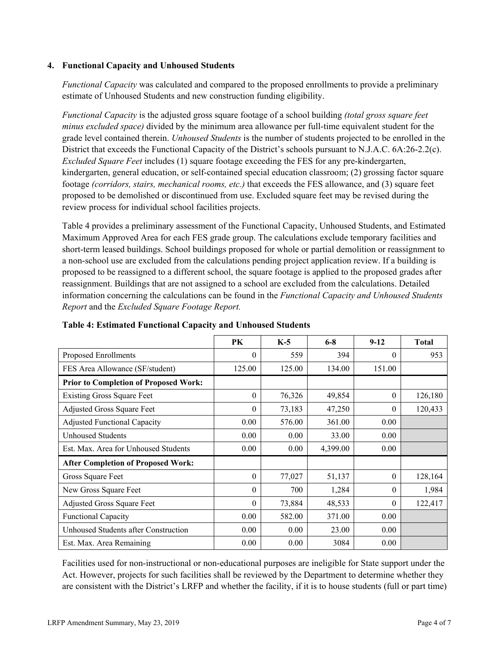### **4. Functional Capacity and Unhoused Students**

*Functional Capacity* was calculated and compared to the proposed enrollments to provide a preliminary estimate of Unhoused Students and new construction funding eligibility.

*Functional Capacity* is the adjusted gross square footage of a school building *(total gross square feet minus excluded space)* divided by the minimum area allowance per full-time equivalent student for the grade level contained therein. *Unhoused Students* is the number of students projected to be enrolled in the District that exceeds the Functional Capacity of the District's schools pursuant to N.J.A.C. 6A:26-2.2(c). *Excluded Square Feet* includes (1) square footage exceeding the FES for any pre-kindergarten, kindergarten, general education, or self-contained special education classroom; (2) grossing factor square footage *(corridors, stairs, mechanical rooms, etc.)* that exceeds the FES allowance, and (3) square feet proposed to be demolished or discontinued from use. Excluded square feet may be revised during the review process for individual school facilities projects.

Table 4 provides a preliminary assessment of the Functional Capacity, Unhoused Students, and Estimated Maximum Approved Area for each FES grade group. The calculations exclude temporary facilities and short-term leased buildings. School buildings proposed for whole or partial demolition or reassignment to a non-school use are excluded from the calculations pending project application review. If a building is proposed to be reassigned to a different school, the square footage is applied to the proposed grades after reassignment. Buildings that are not assigned to a school are excluded from the calculations. Detailed information concerning the calculations can be found in the *Functional Capacity and Unhoused Students Report* and the *Excluded Square Footage Report.*

|                                              | PK       | $K-5$  | $6-8$    | $9-12$   | <b>Total</b> |
|----------------------------------------------|----------|--------|----------|----------|--------------|
| Proposed Enrollments                         | 0        | 559    | 394      | $\theta$ | 953          |
| FES Area Allowance (SF/student)              | 125.00   | 125.00 | 134.00   | 151.00   |              |
| <b>Prior to Completion of Proposed Work:</b> |          |        |          |          |              |
| <b>Existing Gross Square Feet</b>            | 0        | 76,326 | 49,854   | $\theta$ | 126,180      |
| Adjusted Gross Square Feet                   | 0        | 73,183 | 47,250   | $\theta$ | 120,433      |
| <b>Adjusted Functional Capacity</b>          | 0.00     | 576.00 | 361.00   | 0.00     |              |
| <b>Unhoused Students</b>                     | 0.00     | 0.00   | 33.00    | 0.00     |              |
| Est. Max. Area for Unhoused Students         | 0.00     | 0.00   | 4,399.00 | 0.00     |              |
| <b>After Completion of Proposed Work:</b>    |          |        |          |          |              |
| Gross Square Feet                            | $\theta$ | 77,027 | 51,137   | $\theta$ | 128,164      |
| New Gross Square Feet                        | 0        | 700    | 1,284    | $\theta$ | 1,984        |
| Adjusted Gross Square Feet                   | 0        | 73,884 | 48,533   | $\Omega$ | 122,417      |
| <b>Functional Capacity</b>                   | 0.00     | 582.00 | 371.00   | 0.00     |              |
| Unhoused Students after Construction         | 0.00     | 0.00   | 23.00    | 0.00     |              |
| Est. Max. Area Remaining                     | 0.00     | 0.00   | 3084     | 0.00     |              |

**Table 4: Estimated Functional Capacity and Unhoused Students** 

Facilities used for non-instructional or non-educational purposes are ineligible for State support under the Act. However, projects for such facilities shall be reviewed by the Department to determine whether they are consistent with the District's LRFP and whether the facility, if it is to house students (full or part time)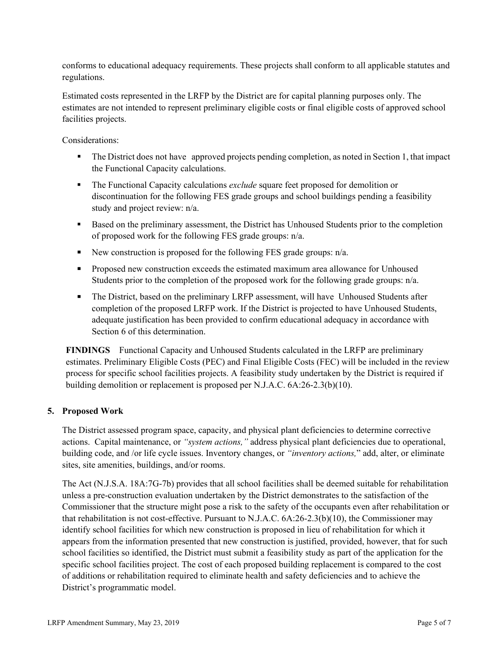conforms to educational adequacy requirements. These projects shall conform to all applicable statutes and regulations.

Estimated costs represented in the LRFP by the District are for capital planning purposes only. The estimates are not intended to represent preliminary eligible costs or final eligible costs of approved school facilities projects.

Considerations:

- The District does not have approved projects pending completion, as noted in Section 1, that impact the Functional Capacity calculations.
- The Functional Capacity calculations *exclude* square feet proposed for demolition or discontinuation for the following FES grade groups and school buildings pending a feasibility study and project review: n/a.
- Based on the preliminary assessment, the District has Unhoused Students prior to the completion of proposed work for the following FES grade groups: n/a.
- New construction is proposed for the following FES grade groups:  $n/a$ .
- **Proposed new construction exceeds the estimated maximum area allowance for Unhoused** Students prior to the completion of the proposed work for the following grade groups: n/a.
- The District, based on the preliminary LRFP assessment, will have Unhoused Students after completion of the proposed LRFP work. If the District is projected to have Unhoused Students, adequate justification has been provided to confirm educational adequacy in accordance with Section 6 of this determination.

**FINDINGS** Functional Capacity and Unhoused Students calculated in the LRFP are preliminary estimates. Preliminary Eligible Costs (PEC) and Final Eligible Costs (FEC) will be included in the review process for specific school facilities projects. A feasibility study undertaken by the District is required if building demolition or replacement is proposed per N.J.A.C. 6A:26-2.3(b)(10).

# **5. Proposed Work**

The District assessed program space, capacity, and physical plant deficiencies to determine corrective actions. Capital maintenance, or *"system actions,"* address physical plant deficiencies due to operational, building code, and /or life cycle issues. Inventory changes, or *"inventory actions,*" add, alter, or eliminate sites, site amenities, buildings, and/or rooms.

The Act (N.J.S.A. 18A:7G-7b) provides that all school facilities shall be deemed suitable for rehabilitation unless a pre-construction evaluation undertaken by the District demonstrates to the satisfaction of the Commissioner that the structure might pose a risk to the safety of the occupants even after rehabilitation or that rehabilitation is not cost-effective. Pursuant to N.J.A.C. 6A:26-2.3(b)(10), the Commissioner may identify school facilities for which new construction is proposed in lieu of rehabilitation for which it appears from the information presented that new construction is justified, provided, however, that for such school facilities so identified, the District must submit a feasibility study as part of the application for the specific school facilities project. The cost of each proposed building replacement is compared to the cost of additions or rehabilitation required to eliminate health and safety deficiencies and to achieve the District's programmatic model.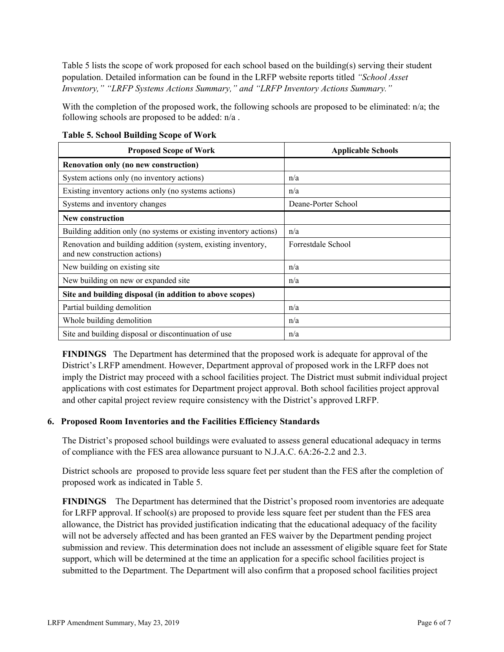Table 5 lists the scope of work proposed for each school based on the building(s) serving their student population. Detailed information can be found in the LRFP website reports titled *"School Asset Inventory," "LRFP Systems Actions Summary," and "LRFP Inventory Actions Summary."*

With the completion of the proposed work, the following schools are proposed to be eliminated: n/a; the following schools are proposed to be added: n/a .

| <b>Proposed Scope of Work</b>                                                                  | <b>Applicable Schools</b> |
|------------------------------------------------------------------------------------------------|---------------------------|
| Renovation only (no new construction)                                                          |                           |
| System actions only (no inventory actions)                                                     | n/a                       |
| Existing inventory actions only (no systems actions)                                           | n/a                       |
| Systems and inventory changes                                                                  | Deane-Porter School       |
| <b>New construction</b>                                                                        |                           |
| Building addition only (no systems or existing inventory actions)                              | n/a                       |
| Renovation and building addition (system, existing inventory,<br>and new construction actions) | Forrestdale School        |
| New building on existing site                                                                  | n/a                       |
| New building on new or expanded site                                                           | n/a                       |
| Site and building disposal (in addition to above scopes)                                       |                           |
| Partial building demolition                                                                    | n/a                       |
| Whole building demolition                                                                      | n/a                       |
| Site and building disposal or discontinuation of use                                           | n/a                       |

**Table 5. School Building Scope of Work**

**FINDINGS** The Department has determined that the proposed work is adequate for approval of the District's LRFP amendment. However, Department approval of proposed work in the LRFP does not imply the District may proceed with a school facilities project. The District must submit individual project applications with cost estimates for Department project approval. Both school facilities project approval and other capital project review require consistency with the District's approved LRFP.

# **6. Proposed Room Inventories and the Facilities Efficiency Standards**

The District's proposed school buildings were evaluated to assess general educational adequacy in terms of compliance with the FES area allowance pursuant to N.J.A.C. 6A:26-2.2 and 2.3.

District schools are proposed to provide less square feet per student than the FES after the completion of proposed work as indicated in Table 5.

**FINDINGS** The Department has determined that the District's proposed room inventories are adequate for LRFP approval. If school(s) are proposed to provide less square feet per student than the FES area allowance, the District has provided justification indicating that the educational adequacy of the facility will not be adversely affected and has been granted an FES waiver by the Department pending project submission and review. This determination does not include an assessment of eligible square feet for State support, which will be determined at the time an application for a specific school facilities project is submitted to the Department. The Department will also confirm that a proposed school facilities project